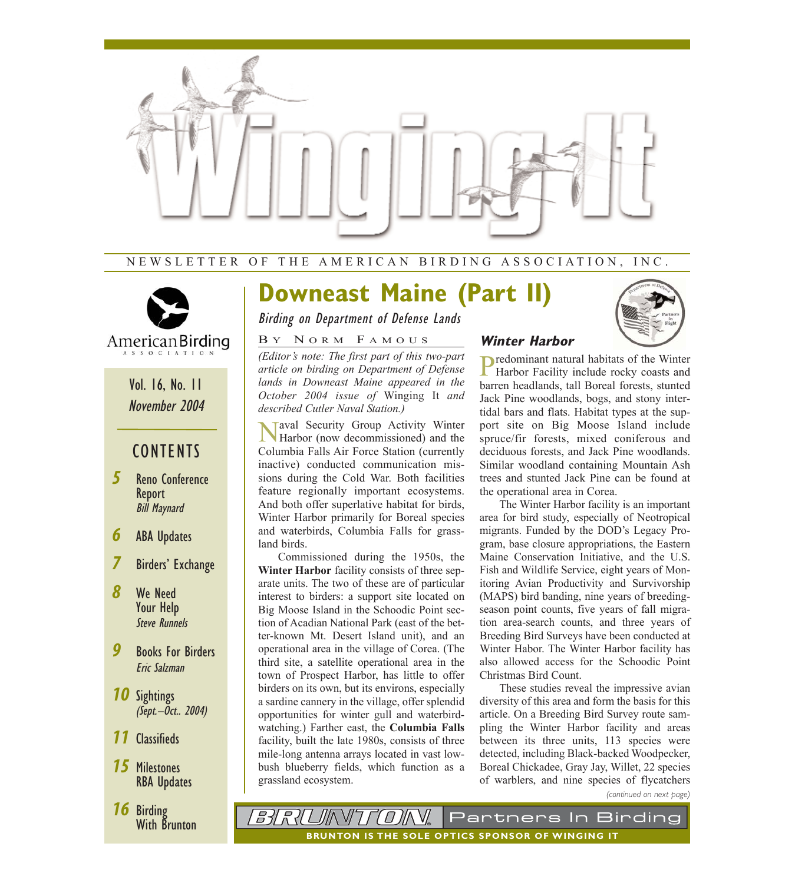

### NEWSLETTER OF THE AMERICAN BIRDING ASSOCIATION, INC.



## Vol. 16, No. 11 November 2004

## **CONTENTS**

- *5* Reno Conference Report Bill Maynard
- *6* ABA Updates
- *7* Birders' Exchange
- *8* We Need Your Help Steve Runnels
- *9* Books For Birders Eric Salzman
- *10* Sightings (Sept.–Oct.. 2004)
- *11* Classifieds
- *15* Milestones RBA Updates
- *16* Birding With Brunton

# **Downeast Maine (Part II)**

Birding on Department of Defense Lands

#### B Y N ORM F AMOUS

*(Editor's note: The first part of this two-part article on birding on Department of Defense lands in Downeast Maine appeared in the October 2004 issue of* Winging It *and described Cutler Naval Station.)*

Taval Security Group Activity Winter Harbor (now decommissioned) and the Columbia Falls Air Force Station (currently inactive) conducted communication missions during the Cold War. Both facilities feature regionally important ecosystems. And both offer superlative habitat for birds, Winter Harbor primarily for Boreal species and waterbirds, Columbia Falls for grassland birds.

Commissioned during the 1950s, the **Winter Harbor** facility consists of three separate units. The two of these are of particular interest to birders: a support site located on Big Moose Island in the Schoodic Point section of Acadian National Park (east of the better-known Mt. Desert Island unit), and an operational area in the village of Corea. (The third site, a satellite operational area in the town of Prospect Harbor, has little to offer birders on its own, but its environs, especially a sardine cannery in the village, offer splendid opportunities for winter gull and waterbirdwatching.) Farther east, the **Columbia Falls** facility, built the late 1980s, consists of three mile-long antenna arrays located in vast lowbush blueberry fields, which function as a grassland ecosystem.



### **Winter Harbor**

Predominant natural habitats of the Winter Harbor Facility include rocky coasts and barren headlands, tall Boreal forests, stunted Jack Pine woodlands, bogs, and stony intertidal bars and flats. Habitat types at the support site on Big Moose Island include spruce/fir forests, mixed coniferous and deciduous forests, and Jack Pine woodlands. Similar woodland containing Mountain Ash trees and stunted Jack Pine can be found at the operational area in Corea.

The Winter Harbor facility is an important area for bird study, especially of Neotropical migrants. Funded by the DOD's Legacy Program, base closure appropriations, the Eastern Maine Conservation Initiative, and the U.S. Fish and Wildlife Service, eight years of Monitoring Avian Productivity and Survivorship (MAPS) bird banding, nine years of breedingseason point counts, five years of fall migration area-search counts, and three years of Breeding Bird Surveys have been conducted at Winter Habor. The Winter Harbor facility has also allowed access for the Schoodic Point Christmas Bird Count.

These studies reveal the impressive avian diversity of this area and form the basis for this article. On a Breeding Bird Survey route sampling the Winter Harbor facility and areas between its three units, 113 species were detected, including Black-backed Woodpecker, Boreal Chickadee, Gray Jay, Willet, 22 species of warblers, and nine species of flycatchers

*(continued on next page)*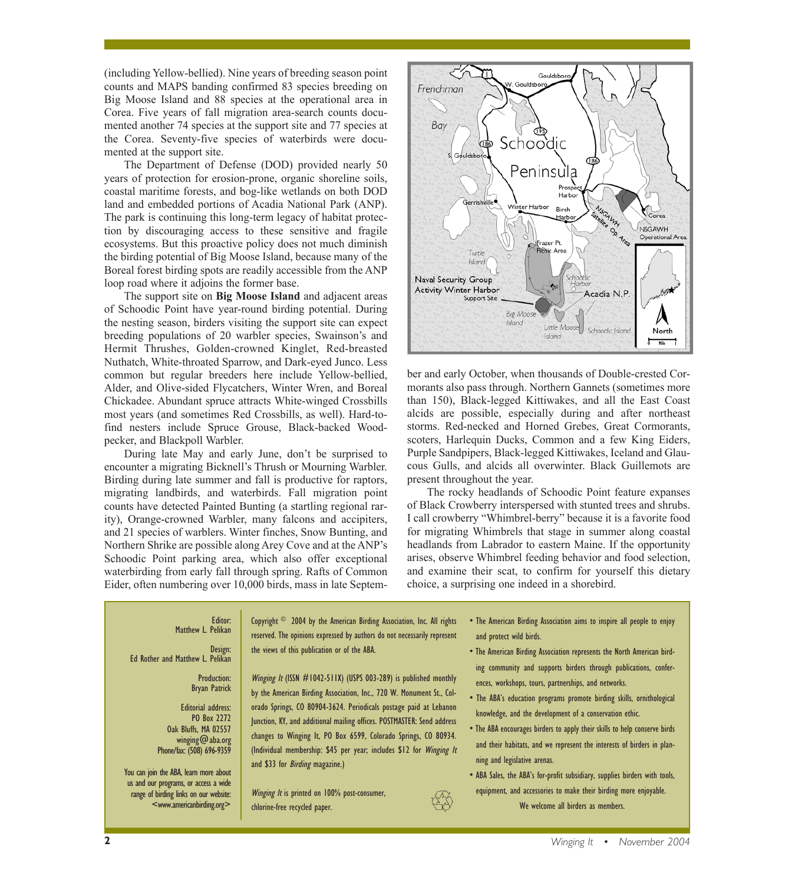(including Yellow-bellied). Nine years of breeding season point counts and MAPS banding confirmed 83 species breeding on Big Moose Island and 88 species at the operational area in Corea. Five years of fall migration area-search counts documented another 74 species at the support site and 77 species at the Corea. Seventy-five species of waterbirds were documented at the support site.

The Department of Defense (DOD) provided nearly 50 years of protection for erosion-prone, organic shoreline soils, coastal maritime forests, and bog-like wetlands on both DOD land and embedded portions of Acadia National Park (ANP). The park is continuing this long-term legacy of habitat protection by discouraging access to these sensitive and fragile ecosystems. But this proactive policy does not much diminish the birding potential of Big Moose Island, because many of the Boreal forest birding spots are readily accessible from the ANP loop road where it adjoins the former base.

The support site on **Big Moose Island** and adjacent areas of Schoodic Point have year-round birding potential. During the nesting season, birders visiting the support site can expect breeding populations of 20 warbler species, Swainson's and Hermit Thrushes, Golden-crowned Kinglet, Red-breasted Nuthatch, White-throated Sparrow, and Dark-eyed Junco. Less common but regular breeders here include Yellow-bellied, Alder, and Olive-sided Flycatchers, Winter Wren, and Boreal Chickadee. Abundant spruce attracts White-winged Crossbills most years (and sometimes Red Crossbills, as well). Hard-tofind nesters include Spruce Grouse, Black-backed Woodpecker, and Blackpoll Warbler.

During late May and early June, don't be surprised to encounter a migrating Bicknell's Thrush or Mourning Warbler. Birding during late summer and fall is productive for raptors, migrating landbirds, and waterbirds. Fall migration point counts have detected Painted Bunting (a startling regional rarity), Orange-crowned Warbler, many falcons and accipiters, and 21 species of warblers. Winter finches, Snow Bunting, and Northern Shrike are possible along Arey Cove and at the ANP's Schoodic Point parking area, which also offer exceptional waterbirding from early fall through spring. Rafts of Common Eider, often numbering over 10,000 birds, mass in late Septem-



ber and early October, when thousands of Double-crested Cormorants also pass through. Northern Gannets (sometimes more than 150), Black-legged Kittiwakes, and all the East Coast alcids are possible, especially during and after northeast storms. Red-necked and Horned Grebes, Great Cormorants, scoters, Harlequin Ducks, Common and a few King Eiders, Purple Sandpipers, Black-legged Kittiwakes, Iceland and Glaucous Gulls, and alcids all overwinter. Black Guillemots are present throughout the year.

The rocky headlands of Schoodic Point feature expanses of Black Crowberry interspersed with stunted trees and shrubs. I call crowberry "Whimbrel-berry" because it is a favorite food for migrating Whimbrels that stage in summer along coastal headlands from Labrador to eastern Maine. If the opportunity arises, observe Whimbrel feeding behavior and food selection, and examine their scat, to confirm for yourself this dietary choice, a surprising one indeed in a shorebird.

#### Editor: Matthew L. Pelikan

#### Design: Ed Rother and Matthew L. Pelikan

Production: Bryan Patrick

Editorial address: PO Box 2272 Oak Bluffs, MA 02557 winging@aba.org Phone/fax: (508) 696-9359

You can join the ABA, learn more about us and our programs, or access a wide range of birding links on our website: <www.americanbirding.org>

Copyright © 2004 by the American Birding Association, Inc. All rights reserved. The opinions expressed by authors do not necessarily represent the views of this publication or of the ABA.

Winging It (ISSN #1042-511X) (USPS 003-289) is published monthly by the American Birding Association, Inc., 720 W. Monument St., Colorado Springs, CO 80904-3624. Periodicals postage paid at Lebanon Junction, KY, and additional mailing offices. POSTMASTER: Send address changes to Winging It, PO Box 6599, Colorado Springs, CO 80934. (Individual membership: \$45 per year; includes \$12 for Winging It and \$33 for *Birding* magazine.)

Winging It is printed on 100% post-consumer, chlorine-free recycled paper.

- The American Birding Association aims to inspire all people to enjoy and protect wild birds.
- The American Birding Association represents the North American birding community and supports birders through publications, conferences, workshops, tours, partnerships, and networks.
- The ABA's education programs promote birding skills, ornithological knowledge, and the development of a conservation ethic.
- The ABA encourages birders to apply their skills to help conserve birds and their habitats, and we represent the interests of birders in planning and legislative arenas.
- ABA Sales, the ABA's for-profit subsidiary, supplies birders with tools, equipment, and accessories to make their birding more enjoyable. We welcome all birders as members.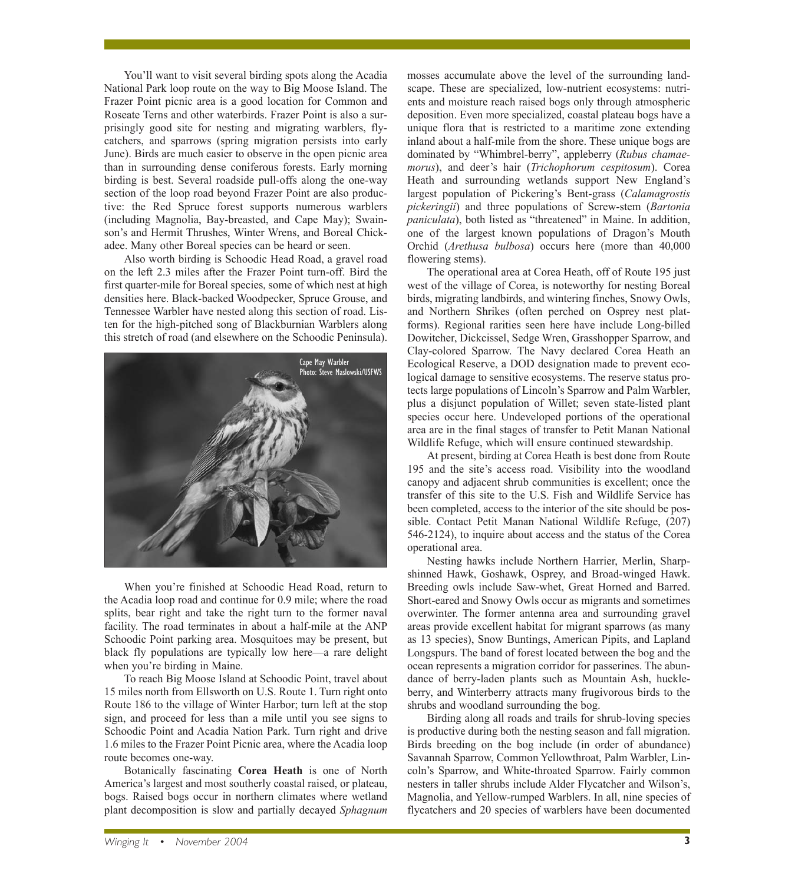You'll want to visit several birding spots along the Acadia National Park loop route on the way to Big Moose Island. The Frazer Point picnic area is a good location for Common and Roseate Terns and other waterbirds. Frazer Point is also a surprisingly good site for nesting and migrating warblers, flycatchers, and sparrows (spring migration persists into early June). Birds are much easier to observe in the open picnic area than in surrounding dense coniferous forests. Early morning birding is best. Several roadside pull-offs along the one-way section of the loop road beyond Frazer Point are also productive: the Red Spruce forest supports numerous warblers (including Magnolia, Bay-breasted, and Cape May); Swainson's and Hermit Thrushes, Winter Wrens, and Boreal Chickadee. Many other Boreal species can be heard or seen.

Also worth birding is Schoodic Head Road, a gravel road on the left 2.3 miles after the Frazer Point turn-off. Bird the first quarter-mile for Boreal species, some of which nest at high densities here. Black-backed Woodpecker, Spruce Grouse, and Tennessee Warbler have nested along this section of road. Listen for the high-pitched song of Blackburnian Warblers along this stretch of road (and elsewhere on the Schoodic Peninsula).



When you're finished at Schoodic Head Road, return to the Acadia loop road and continue for 0.9 mile; where the road splits, bear right and take the right turn to the former naval facility. The road terminates in about a half-mile at the ANP Schoodic Point parking area. Mosquitoes may be present, but black fly populations are typically low here—a rare delight when you're birding in Maine.

To reach Big Moose Island at Schoodic Point, travel about 15 miles north from Ellsworth on U.S. Route 1. Turn right onto Route 186 to the village of Winter Harbor; turn left at the stop sign, and proceed for less than a mile until you see signs to Schoodic Point and Acadia Nation Park. Turn right and drive 1.6 miles to the Frazer Point Picnic area, where the Acadia loop route becomes one-way.

Botanically fascinating **Corea Heath** is one of North America's largest and most southerly coastal raised, or plateau, bogs. Raised bogs occur in northern climates where wetland plant decomposition is slow and partially decayed *Sphagnum*

mosses accumulate above the level of the surrounding landscape. These are specialized, low-nutrient ecosystems: nutrients and moisture reach raised bogs only through atmospheric deposition. Even more specialized, coastal plateau bogs have a unique flora that is restricted to a maritime zone extending inland about a half-mile from the shore. These unique bogs are dominated by "Whimbrel-berry", appleberry (*Rubus chamaemorus*), and deer's hair (*Trichophorum cespitosum*). Corea Heath and surrounding wetlands support New England's largest population of Pickering's Bent-grass (*Calamagrostis pickeringii*) and three populations of Screw-stem (*Bartonia paniculata*), both listed as "threatened" in Maine. In addition, one of the largest known populations of Dragon's Mouth Orchid (*Arethusa bulbosa*) occurs here (more than 40,000 flowering stems).

The operational area at Corea Heath, off of Route 195 just west of the village of Corea, is noteworthy for nesting Boreal birds, migrating landbirds, and wintering finches, Snowy Owls, and Northern Shrikes (often perched on Osprey nest platforms). Regional rarities seen here have include Long-billed Dowitcher, Dickcissel, Sedge Wren, Grasshopper Sparrow, and Clay-colored Sparrow. The Navy declared Corea Heath an Ecological Reserve, a DOD designation made to prevent ecological damage to sensitive ecosystems. The reserve status protects large populations of Lincoln's Sparrow and Palm Warbler, plus a disjunct population of Willet; seven state-listed plant species occur here. Undeveloped portions of the operational area are in the final stages of transfer to Petit Manan National Wildlife Refuge, which will ensure continued stewardship.

At present, birding at Corea Heath is best done from Route 195 and the site's access road. Visibility into the woodland canopy and adjacent shrub communities is excellent; once the transfer of this site to the U.S. Fish and Wildlife Service has been completed, access to the interior of the site should be possible. Contact Petit Manan National Wildlife Refuge, (207) 546-2124), to inquire about access and the status of the Corea operational area.

Nesting hawks include Northern Harrier, Merlin, Sharpshinned Hawk, Goshawk, Osprey, and Broad-winged Hawk. Breeding owls include Saw-whet, Great Horned and Barred. Short-eared and Snowy Owls occur as migrants and sometimes overwinter. The former antenna area and surrounding gravel areas provide excellent habitat for migrant sparrows (as many as 13 species), Snow Buntings, American Pipits, and Lapland Longspurs. The band of forest located between the bog and the ocean represents a migration corridor for passerines. The abundance of berry-laden plants such as Mountain Ash, huckleberry, and Winterberry attracts many frugivorous birds to the shrubs and woodland surrounding the bog.

Birding along all roads and trails for shrub-loving species is productive during both the nesting season and fall migration. Birds breeding on the bog include (in order of abundance) Savannah Sparrow, Common Yellowthroat, Palm Warbler, Lincoln's Sparrow, and White-throated Sparrow. Fairly common nesters in taller shrubs include Alder Flycatcher and Wilson's, Magnolia, and Yellow-rumped Warblers. In all, nine species of flycatchers and 20 species of warblers have been documented